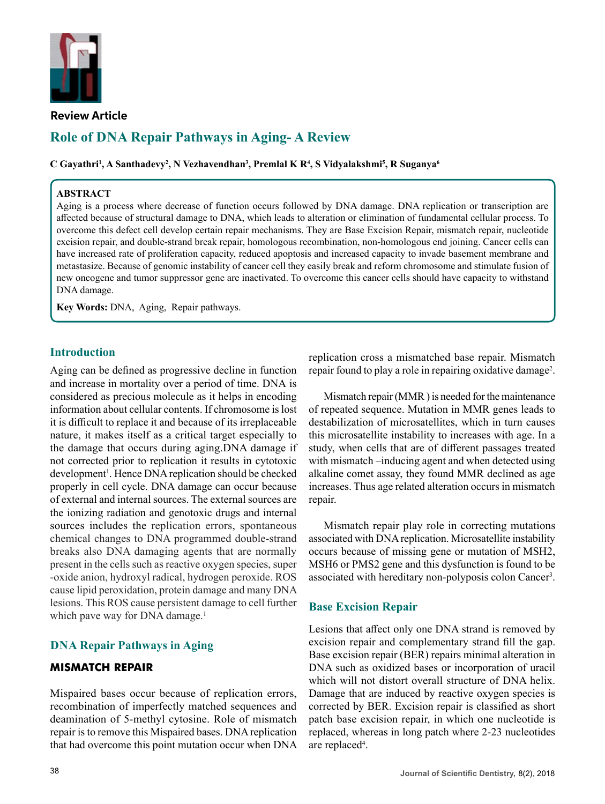

**Review Article**

# **Role of Dna Repair Pathways in Aging- A Review**

 $\bf{C}$  Gayathri<sup>1</sup>, A Santhadevy<sup>2</sup>, N Vezhavendhan<sup>3</sup>, Premlal K R<sup>4</sup>, S Vidyalakshmi<sup>5</sup>, R Suganya<sup>6</sup>

#### **ABSTRACT**

Aging is a process where decrease of function occurs followed by DNA damage. DNA replication or transcription are affected because of structural damage to DNA, which leads to alteration or elimination of fundamental cellular process. To overcome this defect cell develop certain repair mechanisms. They are Base Excision Repair, mismatch repair, nucleotide excision repair, and double-strand break repair, homologous recombination, non-homologous end joining. Cancer cells can have increased rate of proliferation capacity, reduced apoptosis and increased capacity to invade basement membrane and metastasize. Because of genomic instability of cancer cell they easily break and reform chromosome and stimulate fusion of new oncogene and tumor suppressor gene are inactivated. To overcome this cancer cells should have capacity to withstand DNA damage.

**Key Words:** DNA, Aging, Repair pathways.

#### **Introduction**

Aging can be defined as progressive decline in function and increase in mortality over a period of time. DNA is considered as precious molecule as it helps in encoding information about cellular contents. If chromosome is lost it is difficult to replace it and because of its irreplaceable nature, it makes itself as a critical target especially to the damage that occurs during aging.DNA damage if not corrected prior to replication it results in cytotoxic development<sup>1</sup>. Hence DNA replication should be checked properly in cell cycle. DNA damage can occur because of external and internal sources. The external sources are the ionizing radiation and genotoxic drugs and internal sources includes the replication errors, spontaneous chemical changes to DNA programmed double-strand breaks also DNA damaging agents that are normally present in the cells such as reactive oxygen species, super -oxide anion, hydroxyl radical, hydrogen peroxide. ROS cause lipid peroxidation, protein damage and many DNA lesions. This ROS cause persistent damage to cell further which pave way for DNA damage.<sup>1</sup>

# **DNA Repair Pathways in Aging**

#### **MISMATCH REPAIR**

Mispaired bases occur because of replication errors, recombination of imperfectly matched sequences and deamination of 5-methyl cytosine. Role of mismatch repair is to remove this Mispaired bases. DNA replication that had overcome this point mutation occur when DNA replication cross a mismatched base repair. Mismatch repair found to play a role in repairing oxidative damage<sup>2</sup>.

Mismatch repair (MMR ) is needed for the maintenance of repeated sequence. Mutation in MMR genes leads to destabilization of microsatellites, which in turn causes this microsatellite instability to increases with age. In a study, when cells that are of different passages treated with mismatch –inducing agent and when detected using alkaline comet assay, they found MMR declined as age increases. Thus age related alteration occurs in mismatch repair.

Mismatch repair play role in correcting mutations associated with DNA replication. Microsatellite instability occurs because of missing gene or mutation of MSH2, MSH6 or PMS2 gene and this dysfunction is found to be associated with hereditary non-polyposis colon Cancer<sup>3</sup>.

#### **Base Excision Repair**

Lesions that affect only one DNA strand is removed by excision repair and complementary strand fill the gap. Base excision repair (BER) repairs minimal alteration in DNA such as oxidized bases or incorporation of uracil which will not distort overall structure of DNA helix. Damage that are induced by reactive oxygen species is corrected by BER. Excision repair is classified as short patch base excision repair, in which one nucleotide is replaced, whereas in long patch where 2-23 nucleotides are replaced<sup>4</sup>.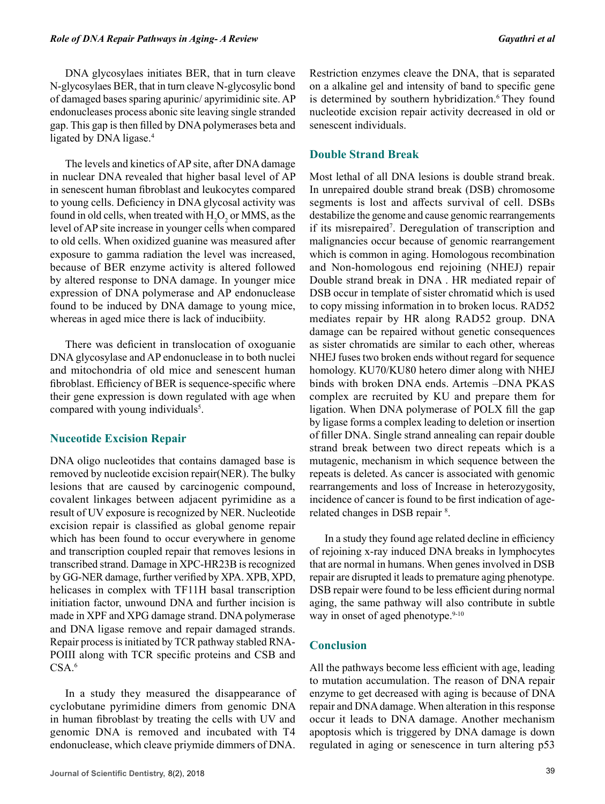DNA glycosylaes initiates BER, that in turn cleave N-glycosylaes BER, that in turn cleave N-glycosylic bond of damaged bases sparing apurinic/ apyrimidinic site. AP endonucleases process abonic site leaving single stranded gap. This gap is then filled by DNA polymerases beta and ligated by DNA ligase.<sup>4</sup>

The levels and kinetics of AP site, after DNA damage in nuclear DNA revealed that higher basal level of AP in senescent human fibroblast and leukocytes compared to young cells. Deficiency in DNA glycosal activity was found in old cells, when treated with  $H_2O_2$  or MMS, as the level of AP site increase in younger cells when compared to old cells. When oxidized guanine was measured after exposure to gamma radiation the level was increased, because of BER enzyme activity is altered followed by altered response to DNA damage. In younger mice expression of DNA polymerase and AP endonuclease found to be induced by DNA damage to young mice, whereas in aged mice there is lack of inducibiity.

There was deficient in translocation of oxoguanie DNA glycosylase and AP endonuclease in to both nuclei and mitochondria of old mice and senescent human fibroblast. Efficiency of BER is sequence-specific where their gene expression is down regulated with age when compared with young individuals<sup>5</sup>.

#### **Nuceotide Excision Repair**

DNA oligo nucleotides that contains damaged base is removed by nucleotide excision repair(NER). The bulky lesions that are caused by carcinogenic compound, covalent linkages between adjacent pyrimidine as a result of UV exposure is recognized by NER. Nucleotide excision repair is classified as global genome repair which has been found to occur everywhere in genome and transcription coupled repair that removes lesions in transcribed strand. Damage in XPC-HR23B is recognized by GG-NER damage, further verified by XPA. XPB, XPD, helicases in complex with TF11H basal transcription initiation factor, unwound DNA and further incision is made in XPF and XPG damage strand. DNA polymerase and DNA ligase remove and repair damaged strands. Repair process is initiated by TCR pathway stabled RNA-POIII along with TCR specific proteins and CSB and  $CSA.<sup>6</sup>$ 

In a study they measured the disappearance of cyclobutane pyrimidine dimers from genomic DNA in human fibroblast by treating the cells with UV and genomic DNA is removed and incubated with T4 endonuclease, which cleave priymide dimmers of DNA.

# **Double Strand Break**

Most lethal of all DNA lesions is double strand break. In unrepaired double strand break (DSB) chromosome segments is lost and affects survival of cell. DSBs destabilize the genome and cause genomic rearrangements if its misrepaired7 . Deregulation of transcription and malignancies occur because of genomic rearrangement which is common in aging. Homologous recombination and Non-homologous end rejoining (NHEJ) repair Double strand break in DNA . HR mediated repair of DSB occur in template of sister chromatid which is used to copy missing information in to broken locus. RAD52 mediates repair by HR along RAD52 group. DNA damage can be repaired without genetic consequences as sister chromatids are similar to each other, whereas NHEJ fuses two broken ends without regard for sequence homology. KU70/KU80 hetero dimer along with NHEJ binds with broken DNA ends. Artemis –DNA PKAS complex are recruited by KU and prepare them for ligation. When DNA polymerase of POLX fill the gap by ligase forms a complex leading to deletion or insertion of filler DNA. Single strand annealing can repair double strand break between two direct repeats which is a mutagenic, mechanism in which sequence between the repeats is deleted. As cancer is associated with genomic rearrangements and loss of Increase in heterozygosity, incidence of cancer is found to be first indication of agerelated changes in DSB repair <sup>8</sup>.

In a study they found age related decline in efficiency of rejoining x-ray induced DNA breaks in lymphocytes that are normal in humans. When genes involved in DSB repair are disrupted it leads to premature aging phenotype. DSB repair were found to be less efficient during normal aging, the same pathway will also contribute in subtle way in onset of aged phenotype. $9-10$ 

# **Conclusion**

All the pathways become less efficient with age, leading to mutation accumulation. The reason of DNA repair enzyme to get decreased with aging is because of DNA repair and DNA damage. When alteration in this response occur it leads to DNA damage. Another mechanism apoptosis which is triggered by DNA damage is down regulated in aging or senescence in turn altering p53